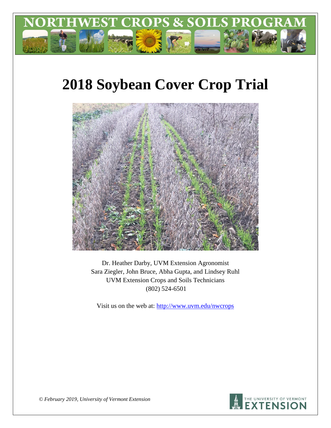

# **2018 Soybean Cover Crop Trial**



Dr. Heather Darby, UVM Extension Agronomist Sara Ziegler, John Bruce, Abha Gupta, and Lindsey Ruhl UVM Extension Crops and Soils Technicians (802) 524-6501

Visit us on the web at: <http://www.uvm.edu/nwcrops>



*© February 2019, University of Vermont Extension*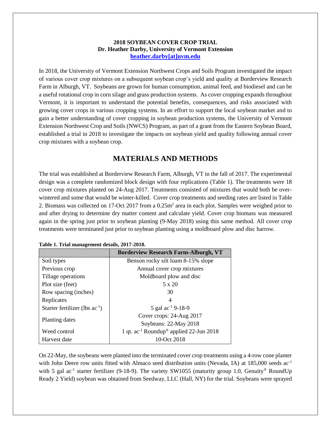#### **2018 SOYBEAN COVER CROP TRIAL Dr. Heather Darby, University of Vermont Extension [heather.darby\[at\]uvm.edu](mailto:heather.darby@uvm.edu?subject=2012%20Short%20Season%20Corn%20Report)**

In 2018, the University of Vermont Extension Northwest Crops and Soils Program investigated the impact of various cover crop mixtures on a subsequent soybean crop's yield and quality at Borderview Research Farm in Alburgh, VT. Soybeans are grown for human consumption, animal feed, and biodiesel and can be a useful rotational crop in corn silage and grass production systems. As cover cropping expands throughout Vermont, it is important to understand the potential benefits, consequences, and risks associated with growing cover crops in various cropping systems. In an effort to support the local soybean market and to gain a better understanding of cover cropping in soybean production systems, the University of Vermont Extension Northwest Crop and Soils (NWCS) Program, as part of a grant from the Eastern Soybean Board, established a trial in 2018 to investigate the impacts on soybean yield and quality following annual cover crop mixtures with a soybean crop.

## **MATERIALS AND METHODS**

The trial was established at Borderview Research Farm, Alburgh, VT in the fall of 2017. The experimental design was a complete randomized block design with four replications (Table 1). The treatments were 18 cover crop mixtures planted on 24-Aug 2017. Treatments consisted of mixtures that would both be overwintered and some that would be winter-killed. Cover crop treatments and seeding rates are listed in Table 2. Biomass was collected on 17-Oct 2017 from a  $0.25m<sup>2</sup>$  area in each plot. Samples were weighed prior to and after drying to determine dry matter content and calculate yield. Cover crop biomass was measured again in the spring just prior to soybean planting (9-May 2018) using this same method. All cover crop treatments were terminated just prior to soybean planting using a moldboard plow and disc harrow.

|                                     | <b>Borderview Research Farm-Alburgh, VT</b>                     |
|-------------------------------------|-----------------------------------------------------------------|
| Soil types                          | Benson rocky silt loam 8-15% slope                              |
| Previous crop                       | Annual cover crop mixtures                                      |
| Tillage operations                  | Moldboard plow and disc                                         |
| Plot size (feet)                    | 5 x 20                                                          |
| Row spacing (inches)                | 30                                                              |
| Replicates                          | 4                                                               |
| Starter fertilizer (lbs $ac^{-1}$ ) | 5 gal ac <sup>-1</sup> 9-18-9                                   |
|                                     | Cover crops: 24-Aug 2017                                        |
| Planting dates                      | Soybeans: 22-May 2018                                           |
| Weed control                        | 1 qt. ac <sup>-1</sup> Roundup <sup>®</sup> applied 22-Jun 2018 |
| Harvest date                        | 10-Oct 2018                                                     |

|  | Table 1. Trial management details, 2017-2018. |  |
|--|-----------------------------------------------|--|
|  |                                               |  |

On 22-May, the soybeans were planted into the terminated cover crop treatments using a 4-row cone planter with John Deere row units fitted with Almaco seed distribution units (Nevada, IA) at 185,000 seeds ac<sup>-1</sup> with 5 gal ac<sup>-1</sup> starter fertilizer (9-18-9). The variety SW1055 (maturity group 1.0, Genuity<sup>®</sup> RoundUp Ready 2 Yield) soybean was obtained from Seedway, LLC (Hall, NY) for the trial. Soybeans were sprayed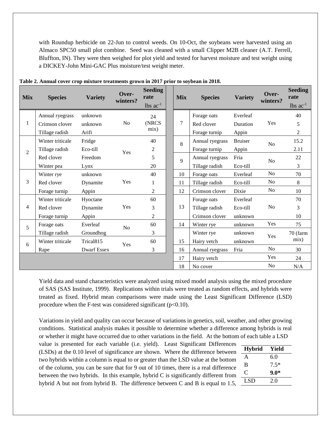with Roundup herbicide on 22-Jun to control weeds. On 10-Oct, the soybeans were harvested using an Almaco SPC50 small plot combine. Seed was cleaned with a small Clipper M2B cleaner (A.T. Ferrell, Bluffton, IN). They were then weighed for plot yield and tested for harvest moisture and test weight using a DICKEY-John Mini-GAC Plus moisture/test weight meter.

| <b>Mix</b>     | <b>Species</b>   | <b>Variety</b>        | Over-<br>winters? | <b>Seeding</b><br>rate<br>$lbs$ ac <sup>-1</sup> | <b>Mix</b> | <b>Species</b>  | <b>Variety</b> | Over-<br>winters? | <b>Seeding</b><br>rate<br>$lbs$ ac <sup>-1</sup> |
|----------------|------------------|-----------------------|-------------------|--------------------------------------------------|------------|-----------------|----------------|-------------------|--------------------------------------------------|
|                | Annual ryegrass  | unknown               |                   | 24                                               |            | Forage oats     | Everleaf       |                   | 40                                               |
| 1              | Crimson clover   | unknown               | N <sub>o</sub>    | (NRCS)                                           | 7          | Red clover      | Duration       | Yes               | 5                                                |
|                | Tillage radish   | Arifi                 |                   | mix)                                             |            | Forage turnip   | Appin          |                   | $\overline{2}$                                   |
|                | Winter triticale | Fridge                |                   | 40                                               | 8          | Annual ryegrass | <b>Bruiser</b> | N <sub>o</sub>    | 15.2                                             |
| $\overline{2}$ | Tillage radish   | Eco-till              | Yes               | $\mathbf{2}$                                     |            | Forage turnip   | Appin          |                   | 2.11                                             |
|                | Red clover       | Freedom               |                   | 5                                                | 9          | Annual ryegrass | Fria           | N <sub>o</sub>    | 22                                               |
|                | Winter pea       | Lynx                  |                   | 20                                               |            | Tillage radish  | Eco-till       |                   | $\overline{3}$                                   |
|                | Winter rye       | unknown               |                   | 40                                               | 10         | Forage oats     | Everleaf       | N <sub>o</sub>    | 70                                               |
| 3              | Red clover       | Dynamite              | Yes               | 1                                                | 11         | Tillage radish  | Eco-till       | N <sub>o</sub>    | 8                                                |
|                | Forage turnip    | Appin                 |                   | 2                                                | 12         | Crimson clover  | Dixie          | No                | 10                                               |
|                | Winter triticale | Hyoctane              |                   | 60                                               |            | Forage oats     | Everleaf       |                   | 70                                               |
| 4              | Red clover       | Dynamite              | Yes               | 3                                                | 13         | Tillage radish  | Eco-till       | N <sub>o</sub>    | $\overline{3}$                                   |
|                | Forage turnip    | Appin                 |                   | $\overline{2}$                                   |            | Crimson clover  | unknown        |                   | 10                                               |
| 5              | Forage oats      | Everleaf              | N <sub>o</sub>    | 60                                               | 14         | Winter rye      | unknown        | Yes               | 75                                               |
|                | Tillage radish   | Groundhog             |                   | 3                                                |            | Winter rye      | unknown        | Yes               | 70 (farm                                         |
| 6              | Winter triticale | Trical <sub>815</sub> | Yes               | 60                                               | 15         | Hairy vetch     | unknown        |                   | mix)                                             |
|                | Rape             | <b>Dwarf Essex</b>    |                   | 3                                                | 16         | Annual ryegrass | Fria           | N <sub>o</sub>    | 30                                               |
|                |                  |                       |                   |                                                  | 17         | Hairy vetch     |                | Yes               | 24                                               |
|                |                  |                       |                   |                                                  | 18         | No cover        |                | N <sub>o</sub>    | N/A                                              |

| Table 2. Annual cover crop mixture treatments grown in 2017 prior to soybean in 2018. |  |  |  |  |
|---------------------------------------------------------------------------------------|--|--|--|--|
|---------------------------------------------------------------------------------------|--|--|--|--|

Yield data and stand characteristics were analyzed using mixed model analysis using the mixed procedure of SAS (SAS Institute, 1999). Replications within trials were treated as random effects, and hybrids were treated as fixed. Hybrid mean comparisons were made using the Least Significant Difference (LSD) procedure when the F-test was considered significant  $(p<0.10)$ .

Variations in yield and quality can occur because of variations in genetics, soil, weather, and other growing conditions. Statistical analysis makes it possible to determine whether a difference among hybrids is real or whether it might have occurred due to other variations in the field. At the bottom of each table a LSD

value is presented for each variable (i.e. yield). Least Significant Differences (LSDs) at the 0.10 level of significance are shown. Where the difference between two hybrids within a column is equal to or greater than the LSD value at the bottom of the column, you can be sure that for 9 out of 10 times, there is a real difference between the two hybrids. In this example, hybrid C is significantly different from hybrid A but not from hybrid B. The difference between C and B is equal to 1.5,

| <b>Hybrid</b> | Yield  |
|---------------|--------|
| A             | 6.0    |
| B             | $7.5*$ |
| $\mathsf{C}$  | $9.0*$ |
| LSD           | 2.0    |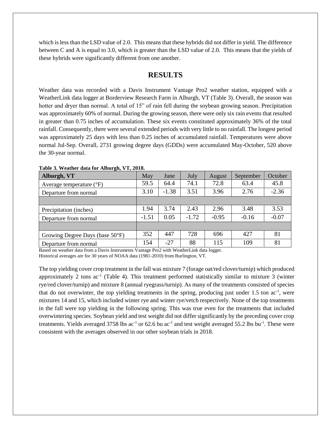which is less than the LSD value of 2.0. This means that these hybrids did not differ in yield. The difference between C and A is equal to 3.0, which is greater than the LSD value of 2.0. This means that the yields of these hybrids were significantly different from one another.

### **RESULTS**

Weather data was recorded with a Davis Instrument Vantage Pro2 weather station, equipped with a WeatherLink data logger at Borderview Research Farm in Alburgh, VT (Table 3). Overall, the season was hotter and dryer than normal. A total of 15" of rain fell during the soybean growing season. Precipitation was approximately 60% of normal. During the growing season, there were only six rain events that resulted in greater than 0.75 inches of accumulation. These six events constituted approximately 36% of the total rainfall. Consequently, there were several extended periods with very little to no rainfall. The longest period was approximately 25 days with less than 0.25 inches of accumulated rainfall. Temperatures were above normal Jul-Sep. Overall, 2731 growing degree days (GDDs) were accumulated May-October, 520 above the 30-year normal.

| Alburgh, VT                         | May     | June    | July    | August  | September | October |
|-------------------------------------|---------|---------|---------|---------|-----------|---------|
| Average temperature $({}^{\circ}F)$ | 59.5    | 64.4    | 74.1    | 72.8    | 63.4      | 45.8    |
| Departure from normal               | 3.10    | $-1.38$ | 3.51    | 3.96    | 2.76      | $-2.36$ |
|                                     |         |         |         |         |           |         |
| Precipitation (inches)              | 1.94    | 3.74    | 2.43    | 2.96    | 3.48      | 3.53    |
| Departure from normal               | $-1.51$ | 0.05    | $-1.72$ | $-0.95$ | $-0.16$   | $-0.07$ |
|                                     |         |         |         |         |           |         |
| Growing Degree Days (base 50°F)     | 352     | 447     | 728     | 696     | 427       | 81      |
| Departure from normal               | 154     | $-27$   | 88      | 115     | 109       | 81      |

**Table 3. Weather data for Alburgh, VT, 2018.**

Based on weather data from a Davis Instruments Vantage Pro2 with WeatherLink data logger. Historical averages are for 30 years of NOAA data (1981-2010) from Burlington, VT.

The top yielding cover crop treatment in the fall was mixture 7 (forage oat/red clover/turnip) which produced approximately 2 tons  $ac^{-1}$  (Table 4). This treatment performed statistically similar to mixture 3 (winter rye/red clover/turnip) and mixture 8 (annual ryegrass/turnip). As many of the treatments consisted of species that do not overwinter, the top yielding treatments in the spring, producing just under 1.5 ton ac<sup>-1</sup>, were mixtures 14 and 15, which included winter rye and winter rye/vetch respectively. None of the top treatments in the fall were top yielding in the following spring. This was true even for the treatments that included overwintering species. Soybean yield and test weight did not differ significantly by the preceding cover crop treatments. Yields averaged 3758 lbs  $ac^{-1}$  or 62.6 bu  $ac^{-1}$  and test weight averaged 55.2 lbs bu<sup>-1</sup>. These were consistent with the averages observed in our other soybean trials in 2018.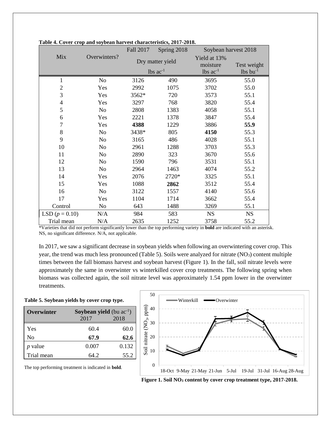|                  |                | Fall 2017 | Spring 2018            | Soybean harvest 2018   |                        |  |
|------------------|----------------|-----------|------------------------|------------------------|------------------------|--|
| Mix              | Overwinters?   |           | Dry matter yield       | Yield at 13%           |                        |  |
|                  |                |           |                        | moisture               | Test weight            |  |
|                  |                |           | $lbs$ ac <sup>-1</sup> | $lbs$ ac <sup>-1</sup> | $lbs$ bu <sup>-1</sup> |  |
| 1                | No             | 3126      | 490                    | 3695                   | 55.0                   |  |
| $\overline{2}$   | Yes            | 2992      | 1075                   | 3702                   | 55.0                   |  |
| 3                | Yes            | 3562*     | 720                    | 3573                   | 55.1                   |  |
| $\overline{4}$   | Yes            | 3297      | 768                    | 3820                   | 55.4                   |  |
| 5                | N <sub>0</sub> | 2808      | 1383                   | 4058                   | 55.1                   |  |
| 6                | Yes            | 2221      | 1378                   | 3847                   | 55.4                   |  |
| $\overline{7}$   | Yes            | 4388      | 1229                   | 3886                   | 55.9                   |  |
| 8                | N <sub>0</sub> | 3438*     | 805                    | 4150                   | 55.3                   |  |
| 9                | No             | 3165      | 486                    | 4028                   | 55.1                   |  |
| 10               | No             | 2961      | 1288                   | 3703                   | 55.3                   |  |
| 11               | N <sub>0</sub> | 2890      | 323                    | 3670                   | 55.6                   |  |
| 12               | N <sub>0</sub> | 1590      | 796                    | 3531                   | 55.1                   |  |
| 13               | N <sub>0</sub> | 2964      | 1463                   | 4074                   | 55.2                   |  |
| 14               | Yes            | 2076      | 2720*                  | 3325                   | 55.1                   |  |
| 15               | Yes            | 1088      | 2862                   | 3512                   | 55.4                   |  |
| 16               | N <sub>0</sub> | 3122      | 1557                   | 4140                   | 55.6                   |  |
| 17               | Yes            | 1104      | 1714                   | 3662                   | 55.4                   |  |
| Control          | N <sub>0</sub> | 643       | 1488                   | 3269                   | 55.1                   |  |
| LSD $(p = 0.10)$ | N/A            | 984       | 583                    | <b>NS</b>              | <b>NS</b>              |  |
| Trial mean       | N/A            | 2635      | 1252                   | 3758                   | 55.2                   |  |

|  |  | Table 4. Cover crop and soybean harvest characteristics, 2017-2018. |  |
|--|--|---------------------------------------------------------------------|--|
|  |  |                                                                     |  |

\*Varieties that did not perform significantly lower than the top performing variety in **bold** are indicated with an asterisk. NS, no significant difference. N/A, not applicable.

In 2017, we saw a significant decrease in soybean yields when following an overwintering cover crop. This year, the trend was much less pronounced (Table 5). Soils were analyzed for nitrate (NO<sub>3</sub>) content multiple times between the fall biomass harvest and soybean harvest (Figure 1). In the fall, soil nitrate levels were approximately the same in overwinter vs winterkilled cover crop treatments. The following spring when biomass was collected again, the soil nitrate level was approximately 1.54 ppm lower in the overwinter treatments.

#### **Table 5. Soybean yields by cover crop type.**

| Overwinter     |       | Soybean yield (bu $ac^{-1}$ ) |  |  |  |
|----------------|-------|-------------------------------|--|--|--|
|                | 2017  | 2018                          |  |  |  |
| Yes            | 60.4  | 60.0                          |  |  |  |
| No             | 67.9  | 62.6                          |  |  |  |
| <i>p</i> value | 0.007 | 0.132                         |  |  |  |
| Trial mean     | 64 2  | 55.2                          |  |  |  |



The top performing treatment is indicated in **bold**.

**Figure 1. Soil NO<sup>3</sup> content by cover crop treatment type, 2017-2018.**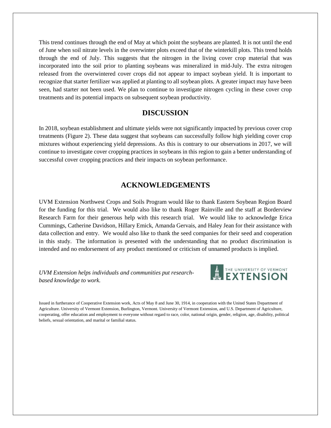This trend continues through the end of May at which point the soybeans are planted. It is not until the end of June when soil nitrate levels in the overwinter plots exceed that of the winterkill plots. This trend holds through the end of July. This suggests that the nitrogen in the living cover crop material that was incorporated into the soil prior to planting soybeans was mineralized in mid-July. The extra nitrogen released from the overwintered cover crops did not appear to impact soybean yield. It is important to recognize that starter fertilizer was applied at planting to all soybean plots. A greater impact may have been seen, had starter not been used. We plan to continue to investigate nitrogen cycling in these cover crop treatments and its potential impacts on subsequent soybean productivity.

#### **DISCUSSION**

In 2018, soybean establishment and ultimate yields were not significantly impacted by previous cover crop treatments (Figure 2). These data suggest that soybeans can successfully follow high yielding cover crop mixtures without experiencing yield depressions. As this is contrary to our observations in 2017, we will continue to investigate cover cropping practices in soybeans in this region to gain a better understanding of successful cover cropping practices and their impacts on soybean performance.

## **ACKNOWLEDGEMENTS**

UVM Extension Northwest Crops and Soils Program would like to thank Eastern Soybean Region Board for the funding for this trial. We would also like to thank Roger Rainville and the staff at Borderview Research Farm for their generous help with this research trial. We would like to acknowledge Erica Cummings, Catherine Davidson, Hillary Emick, Amanda Gervais, and Haley Jean for their assistance with data collection and entry. We would also like to thank the seed companies for their seed and cooperation in this study. The information is presented with the understanding that no product discrimination is intended and no endorsement of any product mentioned or criticism of unnamed products is implied.

*UVM Extension helps individuals and communities put researchbased knowledge to work.*



Issued in furtherance of Cooperative Extension work, Acts of May 8 and June 30, 1914, in cooperation with the United States Department of Agriculture. University of Vermont Extension, Burlington, Vermont. University of Vermont Extension, and U.S. Department of Agriculture, cooperating, offer education and employment to everyone without regard to race, color, national origin, gender, religion, age, disability, political beliefs, sexual orientation, and marital or familial status.